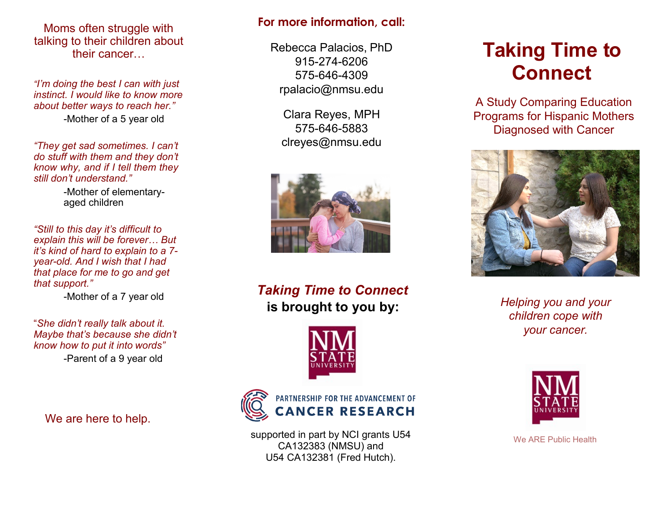Moms often struggle with talking to their children about their cancer…

*"I'm doing the best I can with just instinct. I would like to know more about better ways to reach her."* -Mother of a 5 year old

*"They get sad sometimes. I can't do stuff with them and they don't know why, and if I tell them they still don't understand."*

> -Mother of elementaryaged children

*"Still to this day it's difficult to explain this will be forever… But it's kind of hard to explain to a 7 year-old. And I wish that I had that place for me to go and get that support."*

-Mother of a 7 year old

"*She didn't really talk about it. Maybe that's because she didn't know how to put it into words"* -Parent of a 9 year old

We are here to help.

#### **For more information, call:**

Rebecca Palacios, PhD 915-274-6206 575-646-4309 [rpalacio@nmsu.edu](mailto:rpalacio@nmsu.edu)

Clara Reyes, MPH 575-646-5883 [clreyes@nmsu.edu](mailto:ksondg@nmsu.edu)



*Taking Time to Connect* **is brought to you by:**





supported in part by NCI grants U54 CA132383 (NMSU) and U54 CA132381 (Fred Hutch).

# **Taking Time to Connect**

A Study Comparing Education Programs for Hispanic Mothers Diagnosed with Cancer



*Helping you and your children cope with your cancer.*



We ARE Public Health